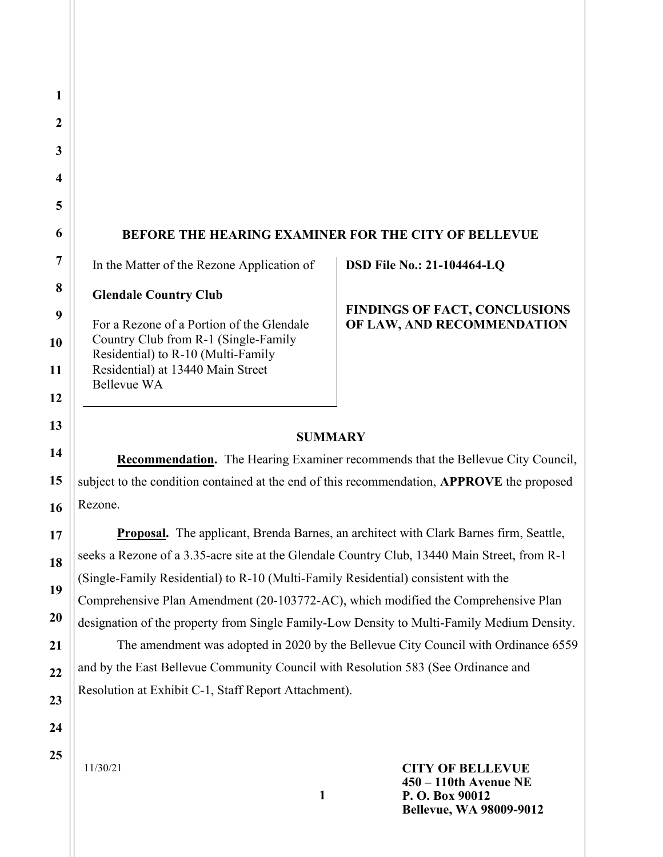## BEFORE THE HEARING EXAMINER FOR THE CITY OF BELLEVUE

In the Matter of the Rezone Application of

Glendale Country Club

For a Rezone of a Portion of the Glendale Country Club from R-1 (Single-Family Residential) to R-10 (Multi-Family Residential) at 13440 Main Street Bellevue WA

### DSD File No.: 21-104464-LQ

### FINDINGS OF FACT, CONCLUSIONS OF LAW, AND RECOMMENDATION

### **SUMMARY**

 Recommendation. The Hearing Examiner recommends that the Bellevue City Council, subject to the condition contained at the end of this recommendation, APPROVE the proposed Rezone.

Proposal. The applicant, Brenda Barnes, an architect with Clark Barnes firm, Seattle, seeks a Rezone of a 3.35-acre site at the Glendale Country Club, 13440 Main Street, from R-1 (Single-Family Residential) to R-10 (Multi-Family Residential) consistent with the Comprehensive Plan Amendment (20-103772-AC), which modified the Comprehensive Plan designation of the property from Single Family-Low Density to Multi-Family Medium Density. The amendment was adopted in 2020 by the Bellevue City Council with Ordinance 6559 and by the East Bellevue Community Council with Resolution 583 (See Ordinance and Resolution at Exhibit C-1, Staff Report Attachment).

25

1

2

3

4

5

6

7

8

9

10

11

12

13

14

15

16

17

18

19

20

21

22

23

24

11/30/21

CITY OF BELLEVUE 450 – 110th Avenue NE P. O. Box 90012 Bellevue, WA 98009-9012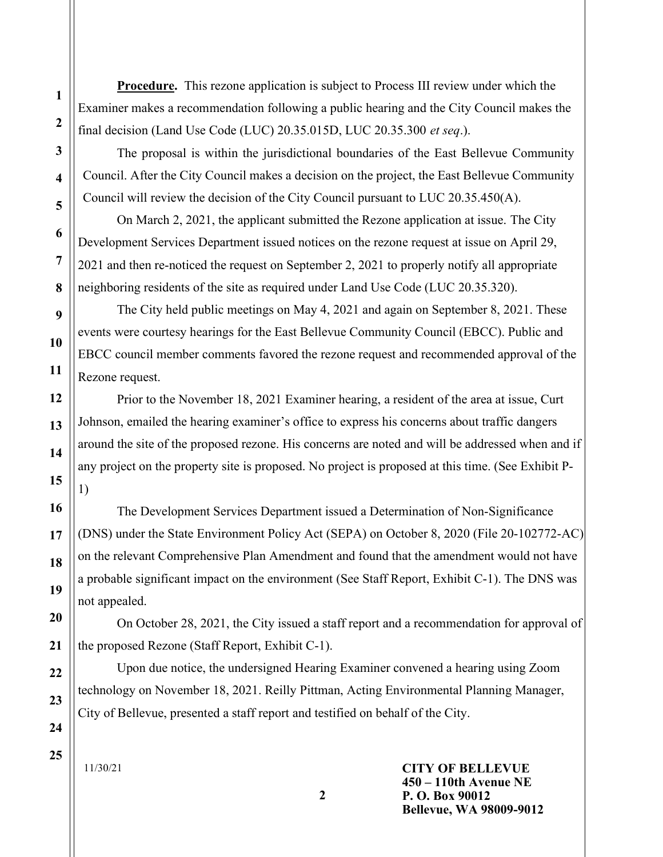Procedure. This rezone application is subject to Process III review under which the Examiner makes a recommendation following a public hearing and the City Council makes the final decision (Land Use Code (LUC) 20.35.015D, LUC 20.35.300 et seq.).

The proposal is within the jurisdictional boundaries of the East Bellevue Community Council. After the City Council makes a decision on the project, the East Bellevue Community Council will review the decision of the City Council pursuant to LUC 20.35.450(A).

On March 2, 2021, the applicant submitted the Rezone application at issue. The City Development Services Department issued notices on the rezone request at issue on April 29, 2021 and then re-noticed the request on September 2, 2021 to properly notify all appropriate neighboring residents of the site as required under Land Use Code (LUC 20.35.320).

The City held public meetings on May 4, 2021 and again on September 8, 2021. These events were courtesy hearings for the East Bellevue Community Council (EBCC). Public and EBCC council member comments favored the rezone request and recommended approval of the Rezone request.

Prior to the November 18, 2021 Examiner hearing, a resident of the area at issue, Curt Johnson, emailed the hearing examiner's office to express his concerns about traffic dangers around the site of the proposed rezone. His concerns are noted and will be addressed when and if any project on the property site is proposed. No project is proposed at this time. (See Exhibit P-1)

The Development Services Department issued a Determination of Non-Significance (DNS) under the State Environment Policy Act (SEPA) on October 8, 2020 (File 20-102772-AC) on the relevant Comprehensive Plan Amendment and found that the amendment would not have a probable significant impact on the environment (See Staff Report, Exhibit C-1). The DNS was not appealed.

 On October 28, 2021, the City issued a staff report and a recommendation for approval of the proposed Rezone (Staff Report, Exhibit C-1).

 Upon due notice, the undersigned Hearing Examiner convened a hearing using Zoom technology on November 18, 2021. Reilly Pittman, Acting Environmental Planning Manager, City of Bellevue, presented a staff report and testified on behalf of the City.

2

11/30/21

CITY OF BELLEVUE 450 – 110th Avenue NE P. O. Box 90012 Bellevue, WA 98009-9012

1

2

3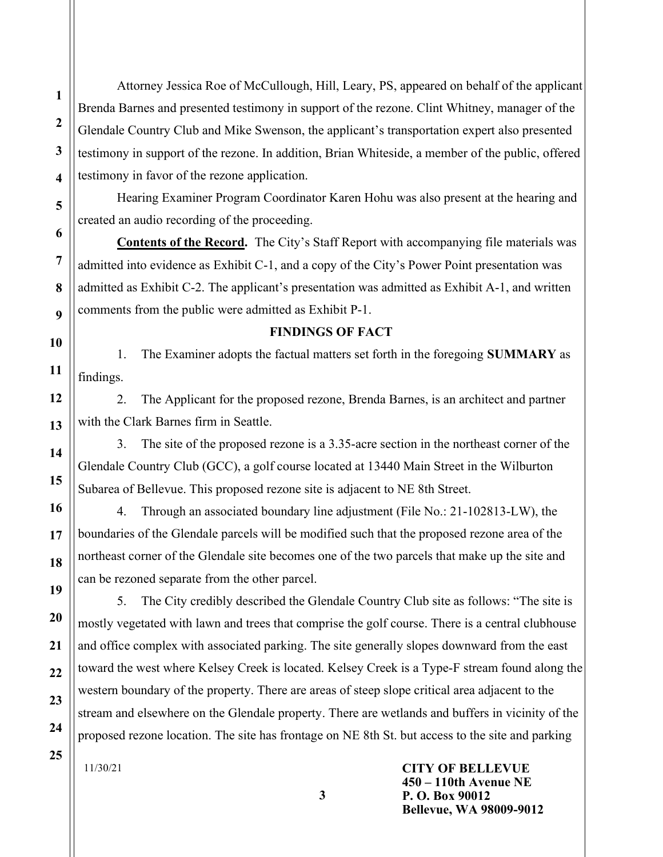Attorney Jessica Roe of McCullough, Hill, Leary, PS, appeared on behalf of the applicant Brenda Barnes and presented testimony in support of the rezone. Clint Whitney, manager of the Glendale Country Club and Mike Swenson, the applicant's transportation expert also presented testimony in support of the rezone. In addition, Brian Whiteside, a member of the public, offered testimony in favor of the rezone application.

Hearing Examiner Program Coordinator Karen Hohu was also present at the hearing and created an audio recording of the proceeding.

Contents of the Record. The City's Staff Report with accompanying file materials was admitted into evidence as Exhibit C-1, and a copy of the City's Power Point presentation was admitted as Exhibit C-2. The applicant's presentation was admitted as Exhibit A-1, and written comments from the public were admitted as Exhibit P-1.

#### FINDINGS OF FACT

1. The Examiner adopts the factual matters set forth in the foregoing SUMMARY as findings.

2. The Applicant for the proposed rezone, Brenda Barnes, is an architect and partner with the Clark Barnes firm in Seattle.

3. The site of the proposed rezone is a 3.35-acre section in the northeast corner of the Glendale Country Club (GCC), a golf course located at 13440 Main Street in the Wilburton Subarea of Bellevue. This proposed rezone site is adjacent to NE 8th Street.

4. Through an associated boundary line adjustment (File No.: 21-102813-LW), the boundaries of the Glendale parcels will be modified such that the proposed rezone area of the northeast corner of the Glendale site becomes one of the two parcels that make up the site and can be rezoned separate from the other parcel.

5. The City credibly described the Glendale Country Club site as follows: "The site is mostly vegetated with lawn and trees that comprise the golf course. There is a central clubhouse and office complex with associated parking. The site generally slopes downward from the east toward the west where Kelsey Creek is located. Kelsey Creek is a Type-F stream found along the western boundary of the property. There are areas of steep slope critical area adjacent to the stream and elsewhere on the Glendale property. There are wetlands and buffers in vicinity of the proposed rezone location. The site has frontage on NE 8th St. but access to the site and parking

3

11/30/21

CITY OF BELLEVUE 450 – 110th Avenue NE P. O. Box 90012 Bellevue, WA 98009-9012

1

2

3

4

5

6

7

8

9

10

11

12

13

14

15

16

17

18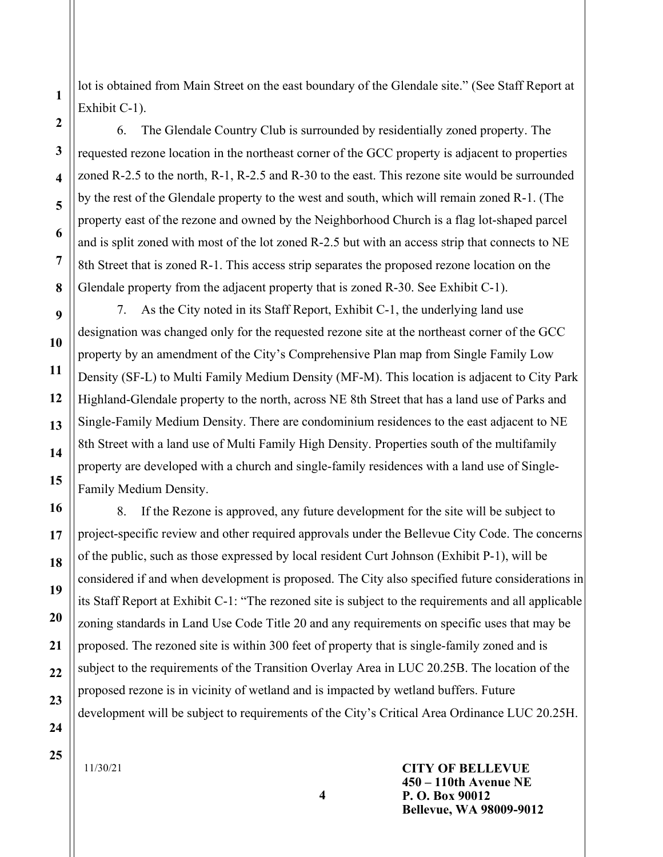lot is obtained from Main Street on the east boundary of the Glendale site." (See Staff Report at Exhibit C-1).

6. The Glendale Country Club is surrounded by residentially zoned property. The requested rezone location in the northeast corner of the GCC property is adjacent to properties zoned R-2.5 to the north, R-1, R-2.5 and R-30 to the east. This rezone site would be surrounded by the rest of the Glendale property to the west and south, which will remain zoned R-1. (The property east of the rezone and owned by the Neighborhood Church is a flag lot-shaped parcel and is split zoned with most of the lot zoned R-2.5 but with an access strip that connects to NE 8th Street that is zoned R-1. This access strip separates the proposed rezone location on the Glendale property from the adjacent property that is zoned R-30. See Exhibit C-1).

7. As the City noted in its Staff Report, Exhibit C-1, the underlying land use designation was changed only for the requested rezone site at the northeast corner of the GCC property by an amendment of the City's Comprehensive Plan map from Single Family Low Density (SF-L) to Multi Family Medium Density (MF-M). This location is adjacent to City Park Highland-Glendale property to the north, across NE 8th Street that has a land use of Parks and Single-Family Medium Density. There are condominium residences to the east adjacent to NE 8th Street with a land use of Multi Family High Density. Properties south of the multifamily property are developed with a church and single-family residences with a land use of Single-Family Medium Density.

8. If the Rezone is approved, any future development for the site will be subject to project-specific review and other required approvals under the Bellevue City Code. The concerns of the public, such as those expressed by local resident Curt Johnson (Exhibit P-1), will be considered if and when development is proposed. The City also specified future considerations in its Staff Report at Exhibit C-1: "The rezoned site is subject to the requirements and all applicable zoning standards in Land Use Code Title 20 and any requirements on specific uses that may be proposed. The rezoned site is within 300 feet of property that is single-family zoned and is subject to the requirements of the Transition Overlay Area in LUC 20.25B. The location of the proposed rezone is in vicinity of wetland and is impacted by wetland buffers. Future development will be subject to requirements of the City's Critical Area Ordinance LUC 20.25H.

11/30/21

CITY OF BELLEVUE 450 – 110th Avenue NE P. O. Box 90012 Bellevue, WA 98009-9012

4

1

2

3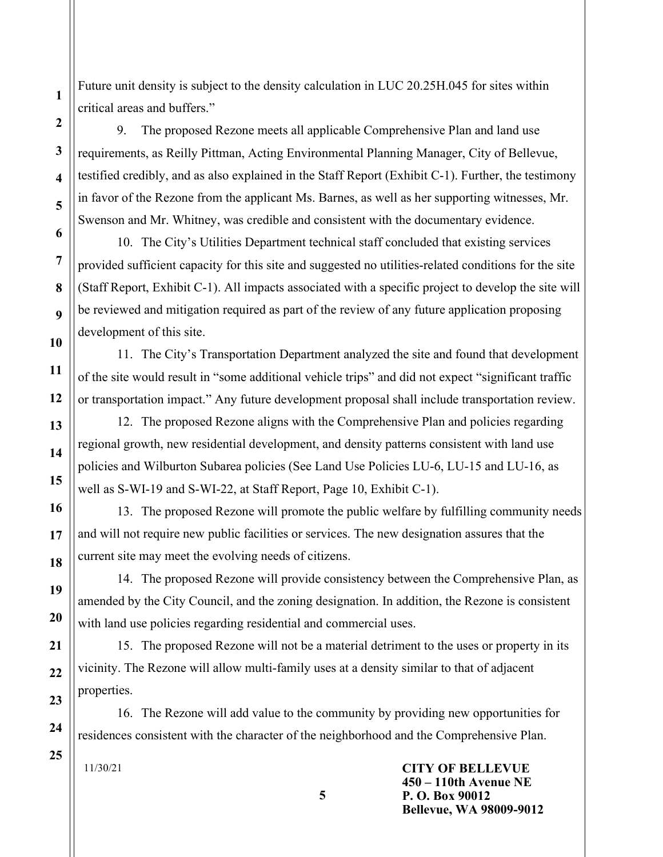Future unit density is subject to the density calculation in LUC 20.25H.045 for sites within critical areas and buffers."

9. The proposed Rezone meets all applicable Comprehensive Plan and land use requirements, as Reilly Pittman, Acting Environmental Planning Manager, City of Bellevue, testified credibly, and as also explained in the Staff Report (Exhibit C-1). Further, the testimony in favor of the Rezone from the applicant Ms. Barnes, as well as her supporting witnesses, Mr. Swenson and Mr. Whitney, was credible and consistent with the documentary evidence.

10. The City's Utilities Department technical staff concluded that existing services provided sufficient capacity for this site and suggested no utilities-related conditions for the site (Staff Report, Exhibit C-1). All impacts associated with a specific project to develop the site will be reviewed and mitigation required as part of the review of any future application proposing development of this site.

11. The City's Transportation Department analyzed the site and found that development of the site would result in "some additional vehicle trips" and did not expect "significant traffic or transportation impact." Any future development proposal shall include transportation review.

12. The proposed Rezone aligns with the Comprehensive Plan and policies regarding regional growth, new residential development, and density patterns consistent with land use policies and Wilburton Subarea policies (See Land Use Policies LU-6, LU-15 and LU-16, as well as S-WI-19 and S-WI-22, at Staff Report, Page 10, Exhibit C-1).

13. The proposed Rezone will promote the public welfare by fulfilling community needs and will not require new public facilities or services. The new designation assures that the current site may meet the evolving needs of citizens.

14. The proposed Rezone will provide consistency between the Comprehensive Plan, as amended by the City Council, and the zoning designation. In addition, the Rezone is consistent with land use policies regarding residential and commercial uses.

15. The proposed Rezone will not be a material detriment to the uses or property in its vicinity. The Rezone will allow multi-family uses at a density similar to that of adjacent properties.

16. The Rezone will add value to the community by providing new opportunities for residences consistent with the character of the neighborhood and the Comprehensive Plan.

5

11/30/21

CITY OF BELLEVUE 450 – 110th Avenue NE P. O. Box 90012 Bellevue, WA 98009-9012

1

2

3

4

5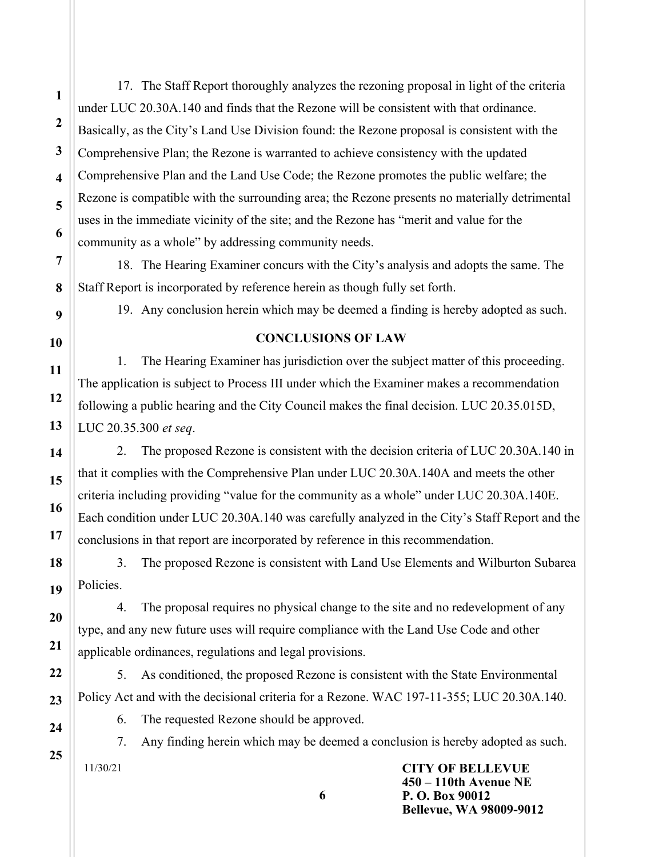17. The Staff Report thoroughly analyzes the rezoning proposal in light of the criteria under LUC 20.30A.140 and finds that the Rezone will be consistent with that ordinance. Basically, as the City's Land Use Division found: the Rezone proposal is consistent with the Comprehensive Plan; the Rezone is warranted to achieve consistency with the updated Comprehensive Plan and the Land Use Code; the Rezone promotes the public welfare; the Rezone is compatible with the surrounding area; the Rezone presents no materially detrimental uses in the immediate vicinity of the site; and the Rezone has "merit and value for the community as a whole" by addressing community needs.

18. The Hearing Examiner concurs with the City's analysis and adopts the same. The Staff Report is incorporated by reference herein as though fully set forth.

19. Any conclusion herein which may be deemed a finding is hereby adopted as such.

### CONCLUSIONS OF LAW

1. The Hearing Examiner has jurisdiction over the subject matter of this proceeding. The application is subject to Process III under which the Examiner makes a recommendation following a public hearing and the City Council makes the final decision. LUC 20.35.015D, LUC 20.35.300 et seq.

2. The proposed Rezone is consistent with the decision criteria of LUC 20.30A.140 in that it complies with the Comprehensive Plan under LUC 20.30A.140A and meets the other criteria including providing "value for the community as a whole" under LUC 20.30A.140E. Each condition under LUC 20.30A.140 was carefully analyzed in the City's Staff Report and the conclusions in that report are incorporated by reference in this recommendation.

3. The proposed Rezone is consistent with Land Use Elements and Wilburton Subarea Policies.

4. The proposal requires no physical change to the site and no redevelopment of any type, and any new future uses will require compliance with the Land Use Code and other applicable ordinances, regulations and legal provisions.

5. As conditioned, the proposed Rezone is consistent with the State Environmental Policy Act and with the decisional criteria for a Rezone. WAC 197-11-355; LUC 20.30A.140.

6

6. The requested Rezone should be approved.

7. Any finding herein which may be deemed a conclusion is hereby adopted as such.

11/30/21

CITY OF BELLEVUE 450 – 110th Avenue NE P. O. Box 90012 Bellevue, WA 98009-9012

1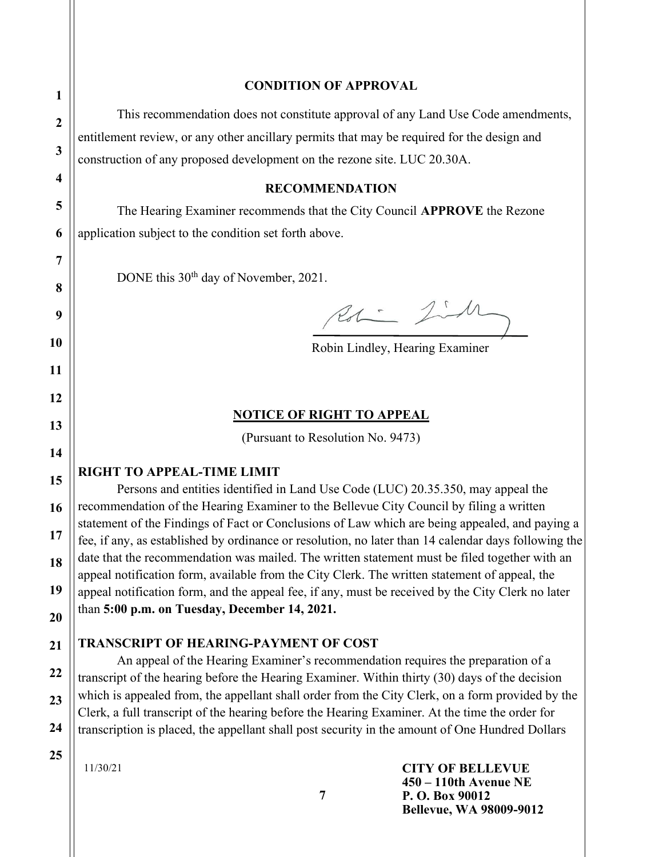#### CONDITION OF APPROVAL

This recommendation does not constitute approval of any Land Use Code amendments, entitlement review, or any other ancillary permits that may be required for the design and construction of any proposed development on the rezone site. LUC 20.30A.

#### RECOMMENDATION

 The Hearing Examiner recommends that the City Council APPROVE the Rezone application subject to the condition set forth above.

DONE this 30<sup>th</sup> day of November, 2021.

Rol - Jih

Robin Lindley, Hearing Examiner

#### NOTICE OF RIGHT TO APPEAL

(Pursuant to Resolution No. 9473)

### RIGHT TO APPEAL-TIME LIMIT

Persons and entities identified in Land Use Code (LUC) 20.35.350, may appeal the recommendation of the Hearing Examiner to the Bellevue City Council by filing a written statement of the Findings of Fact or Conclusions of Law which are being appealed, and paying a fee, if any, as established by ordinance or resolution, no later than 14 calendar days following the date that the recommendation was mailed. The written statement must be filed together with an appeal notification form, available from the City Clerk. The written statement of appeal, the appeal notification form, and the appeal fee, if any, must be received by the City Clerk no later than 5:00 p.m. on Tuesday, December 14, 2021.

### TRANSCRIPT OF HEARING-PAYMENT OF COST

An appeal of the Hearing Examiner's recommendation requires the preparation of a transcript of the hearing before the Hearing Examiner. Within thirty (30) days of the decision which is appealed from, the appellant shall order from the City Clerk, on a form provided by the Clerk, a full transcript of the hearing before the Hearing Examiner. At the time the order for transcription is placed, the appellant shall post security in the amount of One Hundred Dollars

11/30/21

CITY OF BELLEVUE 450 – 110th Avenue NE P. O. Box 90012 Bellevue, WA 98009-9012